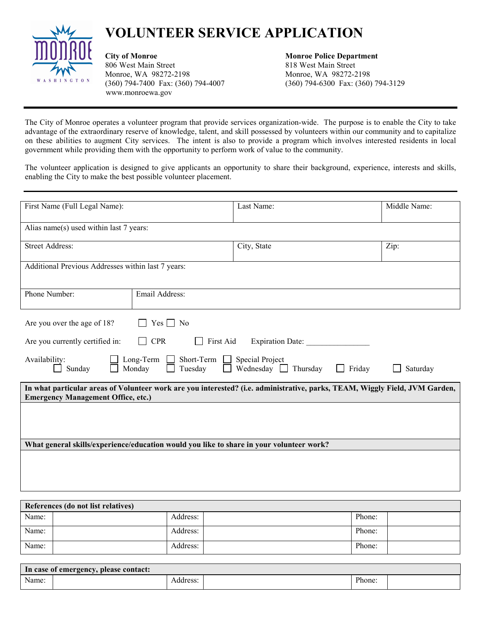## **VOLUNTEER SERVICE APPLICATION**



**City of Monroe Monroe Police Department** 806 West Main Street 818 West Main Street Monroe, WA 98272-2198 Monroe, WA 98272-2198 (360) 794-7400 Fax: (360) 794-4007 (360) 794-6300 Fax: (360) 794-3129 www.monroewa.gov

The City of Monroe operates a volunteer program that provide services organization-wide. The purpose is to enable the City to take advantage of the extraordinary reserve of knowledge, talent, and skill possessed by volunteers within our community and to capitalize on these abilities to augment City services. The intent is also to provide a program which involves interested residents in local government while providing them with the opportunity to perform work of value to the community.

The volunteer application is designed to give applicants an opportunity to share their background, experience, interests and skills, enabling the City to make the best possible volunteer placement.

| First Name (Full Legal Name):                                                                                                                                            |                                                                           | Last Name:                             | Middle Name: |  |  |  |
|--------------------------------------------------------------------------------------------------------------------------------------------------------------------------|---------------------------------------------------------------------------|----------------------------------------|--------------|--|--|--|
| Alias name(s) used within last 7 years:                                                                                                                                  |                                                                           |                                        |              |  |  |  |
| <b>Street Address:</b>                                                                                                                                                   |                                                                           | City, State                            | Zip:         |  |  |  |
| Additional Previous Addresses within last 7 years:                                                                                                                       |                                                                           |                                        |              |  |  |  |
| Phone Number:                                                                                                                                                            | Email Address:                                                            |                                        |              |  |  |  |
| Are you over the age of 18?                                                                                                                                              | $Yes \nightharpoonup No$                                                  |                                        |              |  |  |  |
| Are you currently certified in:                                                                                                                                          | <b>CPR</b><br>First Aid<br>Expiration Date:<br>$\mathsf{L}$               |                                        |              |  |  |  |
| Availability:<br>Sunday                                                                                                                                                  | Long-Term Short-Term Special Project<br>Monday<br>Tuesday<br>$\mathbf{I}$ | Wednesday $\Box$<br>Thursday<br>Friday | Saturday     |  |  |  |
| In what particular areas of Volunteer work are you interested? (i.e. administrative, parks, TEAM, Wiggly Field, JVM Garden,<br><b>Emergency Management Office, etc.)</b> |                                                                           |                                        |              |  |  |  |
|                                                                                                                                                                          |                                                                           |                                        |              |  |  |  |
|                                                                                                                                                                          |                                                                           |                                        |              |  |  |  |
| What general skills/experience/education would you like to share in your volunteer work?                                                                                 |                                                                           |                                        |              |  |  |  |
|                                                                                                                                                                          |                                                                           |                                        |              |  |  |  |
|                                                                                                                                                                          |                                                                           |                                        |              |  |  |  |
|                                                                                                                                                                          |                                                                           |                                        |              |  |  |  |

| References (do not list relatives) |          |  |        |  |  |
|------------------------------------|----------|--|--------|--|--|
| Name:                              | Address: |  | Phone: |  |  |
| Name:                              | Address: |  | Phone: |  |  |
| Name:                              | Address: |  | Phone: |  |  |

| In case of emergency, please contact: |          |        |  |  |  |
|---------------------------------------|----------|--------|--|--|--|
| Name:                                 | Address: | Phone: |  |  |  |